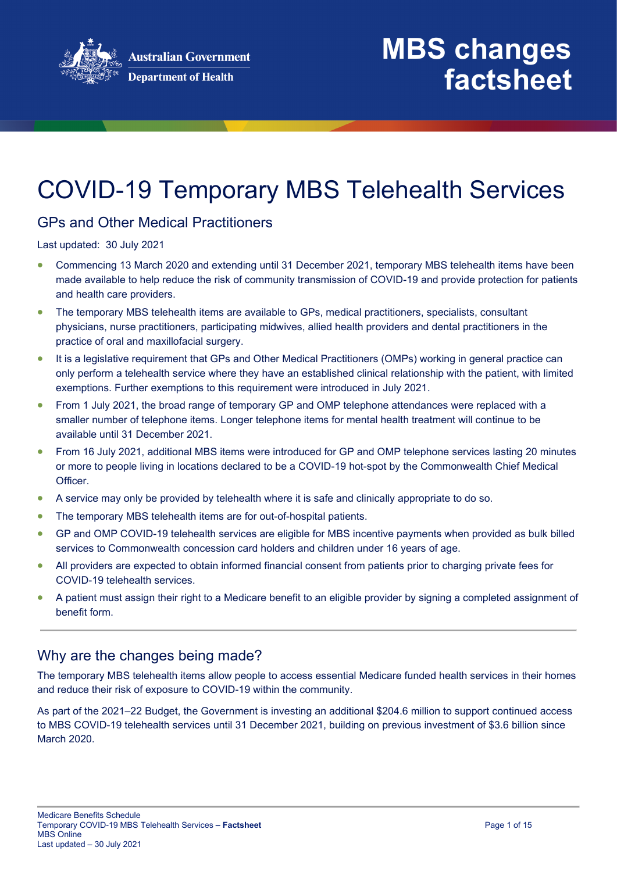

## COVID-19 Temporary MBS Telehealth Services

### GPs and Other Medical Practitioners

Last updated: 30 July 2021

- Commencing 13 March 2020 and extending until 31 December 2021, temporary MBS telehealth items have been made available to help reduce the risk of community transmission of COVID-19 and provide protection for patients and health care providers.
- The temporary MBS telehealth items are available to GPs, medical practitioners, specialists, consultant physicians, nurse practitioners, participating midwives, allied health providers and dental practitioners in the practice of oral and maxillofacial surgery.
- It is a legislative requirement that GPs and Other Medical Practitioners (OMPs) working in general practice can only perform a telehealth service where they have an established clinical relationship with the patient, with limited exemptions. Further exemptions to this requirement were introduced in July 2021.
- From 1 July 2021, the broad range of temporary GP and OMP telephone attendances were replaced with a smaller number of telephone items. Longer telephone items for mental health treatment will continue to be available until 31 December 2021.
- From 16 July 2021, additional MBS items were introduced for GP and OMP telephone services lasting 20 minutes or more to people living in locations declared to be a COVID-19 hot-spot by the Commonwealth Chief Medical Officer.
- A service may only be provided by telehealth where it is safe and clinically appropriate to do so.
- The temporary MBS telehealth items are for out-of-hospital patients.
- GP and OMP COVID-19 telehealth services are eligible for MBS incentive payments when provided as bulk billed services to Commonwealth concession card holders and children under 16 years of age.
- All providers are expected to obtain informed financial consent from patients prior to charging private fees for COVID-19 telehealth services.
- A patient must assign their right to a Medicare benefit to an eligible provider by signing a completed assignment of benefit form.

## Why are the changes being made?

The temporary MBS telehealth items allow people to access essential Medicare funded health services in their homes and reduce their risk of exposure to COVID-19 within the community.

As part of the 2021–22 Budget, the Government is investing an additional \$204.6 million to support continued access to MBS COVID-19 telehealth services until 31 December 2021, building on previous investment of \$3.6 billion since March 2020.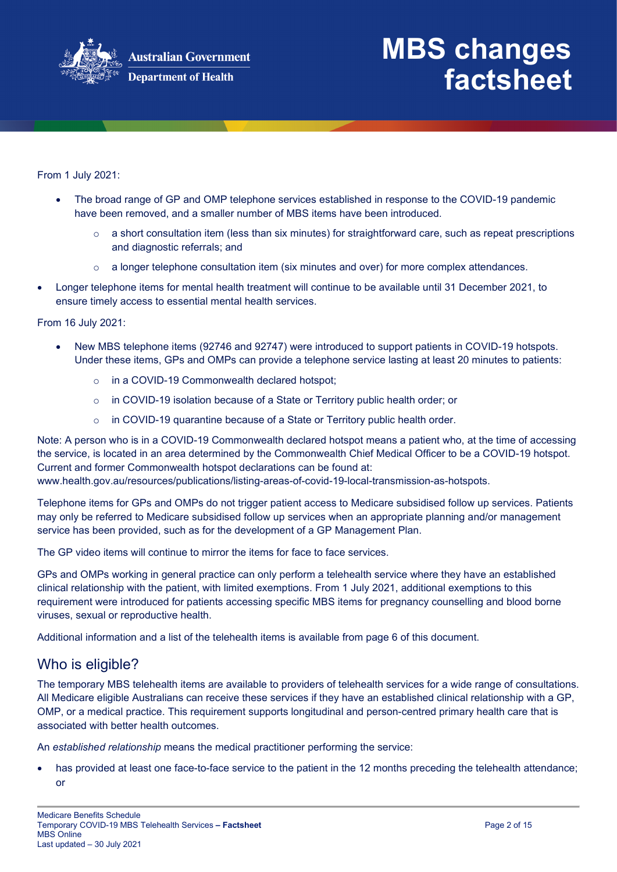

From 1 July 2021:

- The broad range of GP and OMP telephone services established in response to the COVID-19 pandemic have been removed, and a smaller number of MBS items have been introduced.
	- $\circ$  a short consultation item (less than six minutes) for straightforward care, such as repeat prescriptions and diagnostic referrals; and
	- $\circ$  a longer telephone consultation item (six minutes and over) for more complex attendances.
- Longer telephone items for mental health treatment will continue to be available until 31 December 2021, to ensure timely access to essential mental health services.

From 16 July 2021:

- New MBS telephone items (92746 and 92747) were introduced to support patients in COVID-19 hotspots. Under these items, GPs and OMPs can provide a telephone service lasting at least 20 minutes to patients:
	- o in a COVID-19 Commonwealth declared hotspot;
	- o in COVID-19 isolation because of a State or Territory public health order; or
	- $\circ$  in COVID-19 quarantine because of a State or Territory public health order.

Note: A person who is in a COVID-19 Commonwealth declared hotspot means a patient who, at the time of accessing the service, is located in an area determined by the Commonwealth Chief Medical Officer to be a COVID-19 hotspot. Current and former Commonwealth hotspot declarations can be found at:

www.health.gov.au/resources/publications/listing-areas-of-covid-19-local-transmission-as-hotspots.

Telephone items for GPs and OMPs do not trigger patient access to Medicare subsidised follow up services. Patients may only be referred to Medicare subsidised follow up services when an appropriate planning and/or management service has been provided, such as for the development of a GP Management Plan.

The GP video items will continue to mirror the items for face to face services.

GPs and OMPs working in general practice can only perform a telehealth service where they have an established clinical relationship with the patient, with limited exemptions. From 1 July 2021, additional exemptions to this requirement were introduced for patients accessing specific MBS items for pregnancy counselling and blood borne viruses, sexual or reproductive health.

Additional information and a list of the telehealth items is available from page 6 of this document.

### Who is eligible?

The temporary MBS telehealth items are available to providers of telehealth services for a wide range of consultations. All Medicare eligible Australians can receive these services if they have an established clinical relationship with a GP, OMP, or a medical practice. This requirement supports longitudinal and person-centred primary health care that is associated with better health outcomes.

An *established relationship* means the medical practitioner performing the service:

has provided at least one face-to-face service to the patient in the 12 months preceding the telehealth attendance; or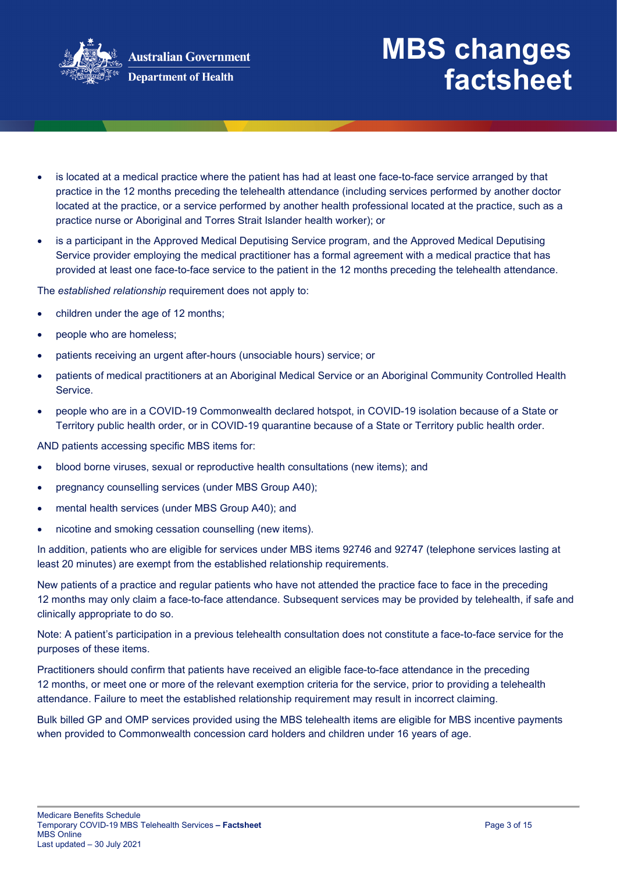

- is located at a medical practice where the patient has had at least one face-to-face service arranged by that practice in the 12 months preceding the telehealth attendance (including services performed by another doctor located at the practice, or a service performed by another health professional located at the practice, such as a practice nurse or Aboriginal and Torres Strait Islander health worker); or
- is a participant in the Approved Medical Deputising Service program, and the Approved Medical Deputising Service provider employing the medical practitioner has a formal agreement with a medical practice that has provided at least one face-to-face service to the patient in the 12 months preceding the telehealth attendance.

The *established relationship* requirement does not apply to:

- children under the age of 12 months;
- people who are homeless;
- patients receiving an urgent after-hours (unsociable hours) service; or
- patients of medical practitioners at an Aboriginal Medical Service or an Aboriginal Community Controlled Health Service.
- people who are in a COVID-19 Commonwealth declared hotspot, in COVID-19 isolation because of a State or Territory public health order, or in COVID-19 quarantine because of a State or Territory public health order.

AND patients accessing specific MBS items for:

- blood borne viruses, sexual or reproductive health consultations (new items); and
- pregnancy counselling services (under MBS Group A40);
- mental health services (under MBS Group A40); and
- nicotine and smoking cessation counselling (new items).

In addition, patients who are eligible for services under MBS items 92746 and 92747 (telephone services lasting at least 20 minutes) are exempt from the established relationship requirements.

New patients of a practice and regular patients who have not attended the practice face to face in the preceding 12 months may only claim a face-to-face attendance. Subsequent services may be provided by telehealth, if safe and clinically appropriate to do so.

Note: A patient's participation in a previous telehealth consultation does not constitute a face-to-face service for the purposes of these items.

Practitioners should confirm that patients have received an eligible face-to-face attendance in the preceding 12 months, or meet one or more of the relevant exemption criteria for the service, prior to providing a telehealth attendance. Failure to meet the established relationship requirement may result in incorrect claiming.

Bulk billed GP and OMP services provided using the MBS telehealth items are eligible for MBS incentive payments when provided to Commonwealth concession card holders and children under 16 years of age.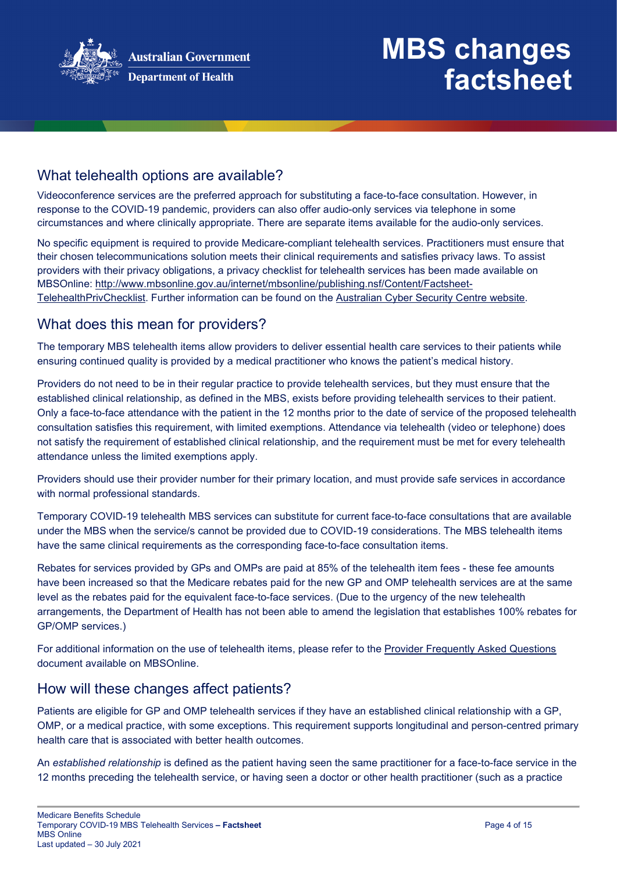

## What telehealth options are available?

Videoconference services are the preferred approach for substituting a face-to-face consultation. However, in response to the COVID-19 pandemic, providers can also offer audio-only services via telephone in some circumstances and where clinically appropriate. There are separate items available for the audio-only services.

No specific equipment is required to provide Medicare-compliant telehealth services. Practitioners must ensure that their chosen telecommunications solution meets their clinical requirements and satisfies privacy laws. To assist providers with their privacy obligations, a privacy checklist for telehealth services has been made available on MBSOnline: [http://www.mbsonline.gov.au/internet/mbsonline/publishing.nsf/Content/Factsheet-](http://www.mbsonline.gov.au/internet/mbsonline/publishing.nsf/Content/Factsheet-TelehealthPrivChecklist)[TelehealthPrivChecklist.](http://www.mbsonline.gov.au/internet/mbsonline/publishing.nsf/Content/Factsheet-TelehealthPrivChecklist) Further information can be found on the [Australian Cyber Security Centre website.](https://www.cyber.gov.au/)

### What does this mean for providers?

The temporary MBS telehealth items allow providers to deliver essential health care services to their patients while ensuring continued quality is provided by a medical practitioner who knows the patient's medical history.

Providers do not need to be in their regular practice to provide telehealth services, but they must ensure that the established clinical relationship, as defined in the MBS, exists before providing telehealth services to their patient. Only a face-to-face attendance with the patient in the 12 months prior to the date of service of the proposed telehealth consultation satisfies this requirement, with limited exemptions. Attendance via telehealth (video or telephone) does not satisfy the requirement of established clinical relationship, and the requirement must be met for every telehealth attendance unless the limited exemptions apply.

Providers should use their provider number for their primary location, and must provide safe services in accordance with normal professional standards.

Temporary COVID-19 telehealth MBS services can substitute for current face-to-face consultations that are available under the MBS when the service/s cannot be provided due to COVID-19 considerations. The MBS telehealth items have the same clinical requirements as the corresponding face-to-face consultation items.

Rebates for services provided by GPs and OMPs are paid at 85% of the telehealth item fees - these fee amounts have been increased so that the Medicare rebates paid for the new GP and OMP telehealth services are at the same level as the rebates paid for the equivalent face-to-face services. (Due to the urgency of the new telehealth arrangements, the Department of Health has not been able to amend the legislation that establishes 100% rebates for GP/OMP services.)

For additional information on the use of telehealth items, please refer to the [Provider Frequently Asked Questions](http://www.mbsonline.gov.au/internet/mbsonline/publishing.nsf/Content/Factsheet-TempBB) document available on MBSOnline.

### How will these changes affect patients?

Patients are eligible for GP and OMP telehealth services if they have an established clinical relationship with a GP, OMP, or a medical practice, with some exceptions. This requirement supports longitudinal and person-centred primary health care that is associated with better health outcomes.

An *established relationship* is defined as the patient having seen the same practitioner for a face-to-face service in the 12 months preceding the telehealth service, or having seen a doctor or other health practitioner (such as a practice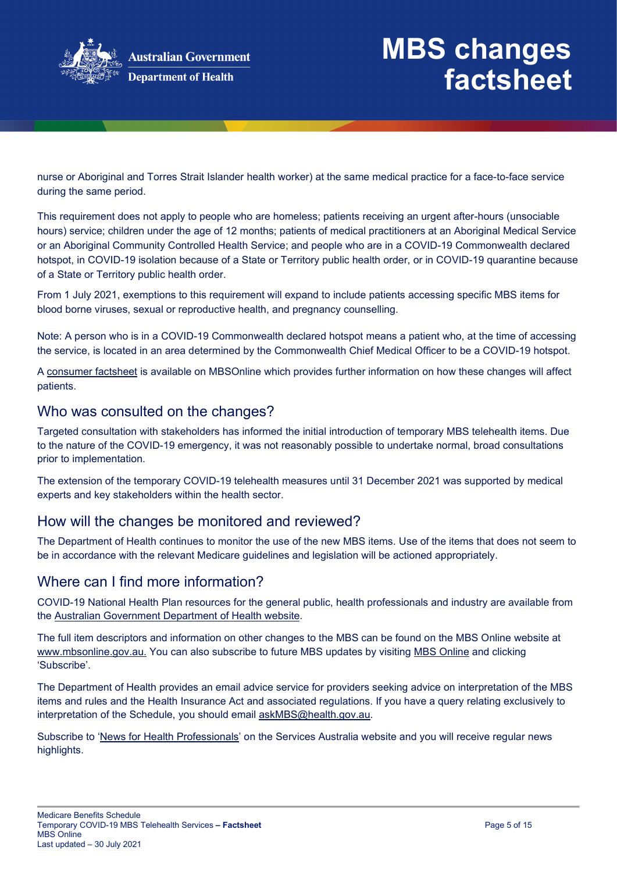

nurse or Aboriginal and Torres Strait Islander health worker) at the same medical practice for a face-to-face service during the same period.

This requirement does not apply to people who are homeless; patients receiving an urgent after-hours (unsociable hours) service; children under the age of 12 months; patients of medical practitioners at an Aboriginal Medical Service or an Aboriginal Community Controlled Health Service; and people who are in a COVID-19 Commonwealth declared hotspot, in COVID-19 isolation because of a State or Territory public health order, or in COVID-19 quarantine because of a State or Territory public health order.

From 1 July 2021, exemptions to this requirement will expand to include patients accessing specific MBS items for blood borne viruses, sexual or reproductive health, and pregnancy counselling.

Note: A person who is in a COVID-19 Commonwealth declared hotspot means a patient who, at the time of accessing the service, is located in an area determined by the Commonwealth Chief Medical Officer to be a COVID-19 hotspot.

A [consumer factsheet](http://www.mbsonline.gov.au/internet/mbsonline/publishing.nsf/Content/Factsheet-TempBB) is available on MBSOnline which provides further information on how these changes will affect patients.

### Who was consulted on the changes?

Targeted consultation with stakeholders has informed the initial introduction of temporary MBS telehealth items. Due to the nature of the COVID-19 emergency, it was not reasonably possible to undertake normal, broad consultations prior to implementation.

The extension of the temporary COVID-19 telehealth measures until 31 December 2021 was supported by medical experts and key stakeholders within the health sector.

### How will the changes be monitored and reviewed?

The Department of Health continues to monitor the use of the new MBS items. Use of the items that does not seem to be in accordance with the relevant Medicare guidelines and legislation will be actioned appropriately.

### Where can I find more information?

COVID-19 National Health Plan resources for the general public, health professionals and industry are available from the [Australian Government Department of Health website.](https://www.health.gov.au/resources/collections/coronavirus-covid-19-national-health-plan-resources)

The full item descriptors and information on other changes to the MBS can be found on the MBS Online website at [www.mbsonline.gov.au.](http://www.mbsonline.gov.au/) You can also subscribe to future MBS updates by visiting [MBS Online](http://www.mbsonline.gov.au/) and clicking 'Subscribe'.

The Department of Health provides an email advice service for providers seeking advice on interpretation of the MBS items and rules and the Health Insurance Act and associated regulations. If you have a query relating exclusively to interpretation of the Schedule, you should email [askMBS@health.gov.au.](mailto:askMBS@health.gov.au)

Subscribe to ['News for Health Professionals'](https://www.humanservices.gov.au/organisations/health-professionals/news/all) on the Services Australia website and you will receive regular news highlights.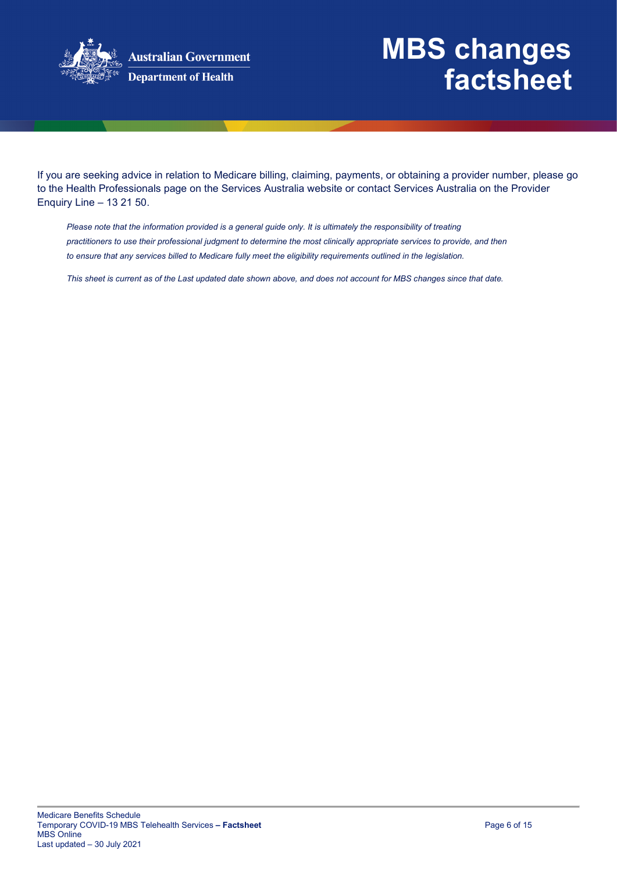

**Australian Government Department of Health** 

## **MBS changes factsheet**

If you are seeking advice in relation to Medicare billing, claiming, payments, or obtaining a provider number, please go to the Health Professionals page on the Services Australia website or contact Services Australia on the Provider Enquiry Line – 13 21 50.

*Please note that the information provided is a general guide only. It is ultimately the responsibility of treating practitioners to use their professional judgment to determine the most clinically appropriate services to provide, and then*  to ensure that any services billed to Medicare fully meet the eligibility requirements outlined in the legislation.

*This sheet is current as of the Last updated date shown above, and does not account for MBS changes since that date.*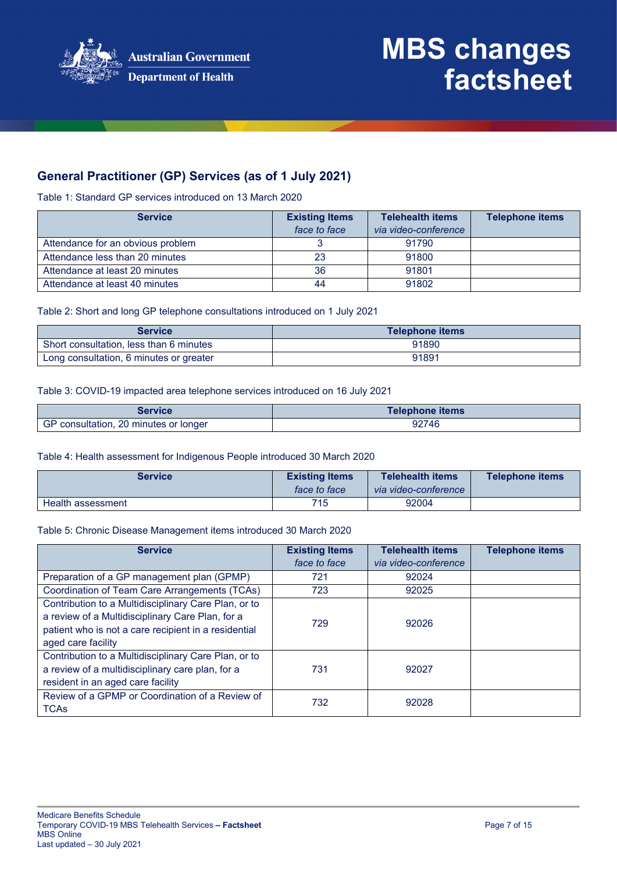

### **General Practitioner (GP) Services (as of 1 July 2021)**

Table 1: Standard GP services introduced on 13 March 2020

| <b>Service</b>                    | <b>Existing Items</b><br>face to face | <b>Telehealth items</b><br>via video-conference | <b>Telephone items</b> |
|-----------------------------------|---------------------------------------|-------------------------------------------------|------------------------|
|                                   |                                       | 91790                                           |                        |
| Attendance for an obvious problem |                                       |                                                 |                        |
| Attendance less than 20 minutes   | 23                                    | 91800                                           |                        |
| Attendance at least 20 minutes    | 36                                    | 91801                                           |                        |
| Attendance at least 40 minutes    | 44                                    | 91802                                           |                        |

Table 2: Short and long GP telephone consultations introduced on 1 July 2021

| <b>Service</b>                          | Telephone items |
|-----------------------------------------|-----------------|
| Short consultation, less than 6 minutes | 91890           |
| Long consultation, 6 minutes or greater | 91891           |

#### Table 3: COVID-19 impacted area telephone services introduced on 16 July 2021

| Service                               | Telephone items |
|---------------------------------------|-----------------|
| GP consultation, 20 minutes or longer | 92746           |

#### Table 4: Health assessment for Indigenous People introduced 30 March 2020

| <b>Service</b>    | <b>Existing Items</b><br><i>face to face</i> | <b>Telehealth items</b><br>via video-conference | <b>Telephone items</b> |
|-------------------|----------------------------------------------|-------------------------------------------------|------------------------|
| Health assessment | 715                                          | 92004                                           |                        |

#### Table 5: Chronic Disease Management items introduced 30 March 2020

| <b>Service</b>                                                                                                                                                                         | <b>Existing Items</b><br>face to face | <b>Telehealth items</b><br>via video-conference | <b>Telephone items</b> |
|----------------------------------------------------------------------------------------------------------------------------------------------------------------------------------------|---------------------------------------|-------------------------------------------------|------------------------|
| Preparation of a GP management plan (GPMP)                                                                                                                                             | 721                                   | 92024                                           |                        |
| Coordination of Team Care Arrangements (TCAs)                                                                                                                                          | 723                                   | 92025                                           |                        |
| Contribution to a Multidisciplinary Care Plan, or to<br>a review of a Multidisciplinary Care Plan, for a<br>patient who is not a care recipient in a residential<br>aged care facility | 729                                   | 92026                                           |                        |
| Contribution to a Multidisciplinary Care Plan, or to<br>a review of a multidisciplinary care plan, for a<br>resident in an aged care facility                                          | 731                                   | 92027                                           |                        |
| Review of a GPMP or Coordination of a Review of<br><b>TCAs</b>                                                                                                                         | 732                                   | 92028                                           |                        |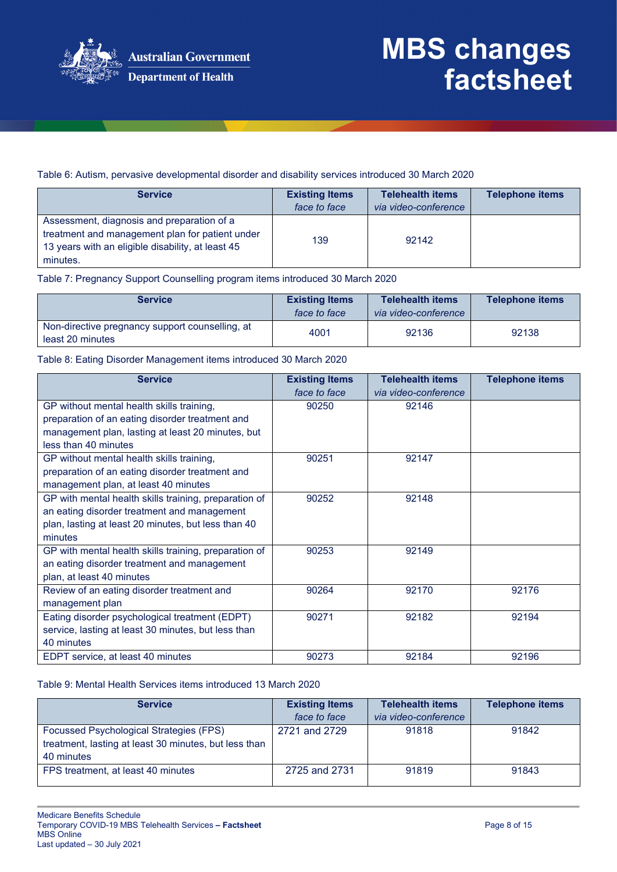

Table 6: Autism, pervasive developmental disorder and disability services introduced 30 March 2020

| <b>Service</b>                                                                                                                                                 | <b>Existing Items</b><br>face to face | <b>Telehealth items</b><br>via video-conference | <b>Telephone items</b> |
|----------------------------------------------------------------------------------------------------------------------------------------------------------------|---------------------------------------|-------------------------------------------------|------------------------|
| Assessment, diagnosis and preparation of a<br>treatment and management plan for patient under<br>13 years with an eligible disability, at least 45<br>minutes. | 139                                   | 92142                                           |                        |

Table 7: Pregnancy Support Counselling program items introduced 30 March 2020

| <b>Service</b>                                                      | <b>Existing Items</b><br>face to face | <b>Telehealth items</b><br>via video-conference | Telephone items |
|---------------------------------------------------------------------|---------------------------------------|-------------------------------------------------|-----------------|
| Non-directive pregnancy support counselling, at<br>least 20 minutes | 4001                                  | 92136                                           | 92138           |

Table 8: Eating Disorder Management items introduced 30 March 2020

| <b>Service</b>                                        | <b>Existing Items</b> | <b>Telehealth items</b> | <b>Telephone items</b> |
|-------------------------------------------------------|-----------------------|-------------------------|------------------------|
|                                                       | face to face          | via video-conference    |                        |
| GP without mental health skills training,             | 90250                 | 92146                   |                        |
| preparation of an eating disorder treatment and       |                       |                         |                        |
| management plan, lasting at least 20 minutes, but     |                       |                         |                        |
| less than 40 minutes                                  |                       |                         |                        |
| GP without mental health skills training,             | 90251                 | 92147                   |                        |
| preparation of an eating disorder treatment and       |                       |                         |                        |
| management plan, at least 40 minutes                  |                       |                         |                        |
| GP with mental health skills training, preparation of | 90252                 | 92148                   |                        |
| an eating disorder treatment and management           |                       |                         |                        |
| plan, lasting at least 20 minutes, but less than 40   |                       |                         |                        |
| minutes                                               |                       |                         |                        |
| GP with mental health skills training, preparation of | 90253                 | 92149                   |                        |
| an eating disorder treatment and management           |                       |                         |                        |
| plan, at least 40 minutes                             |                       |                         |                        |
| Review of an eating disorder treatment and            | 90264                 | 92170                   | 92176                  |
| management plan                                       |                       |                         |                        |
| Eating disorder psychological treatment (EDPT)        | 90271                 | 92182                   | 92194                  |
| service, lasting at least 30 minutes, but less than   |                       |                         |                        |
| 40 minutes                                            |                       |                         |                        |
| EDPT service, at least 40 minutes                     | 90273                 | 92184                   | 92196                  |

#### Table 9: Mental Health Services items introduced 13 March 2020

| <b>Service</b>                                        | <b>Existing Items</b><br>face to face | <b>Telehealth items</b><br>via video-conference | <b>Telephone items</b> |
|-------------------------------------------------------|---------------------------------------|-------------------------------------------------|------------------------|
| Focussed Psychological Strategies (FPS)               | 2721 and 2729                         | 91818                                           | 91842                  |
| treatment, lasting at least 30 minutes, but less than |                                       |                                                 |                        |
| 40 minutes                                            |                                       |                                                 |                        |
| FPS treatment, at least 40 minutes                    | 2725 and 2731                         | 91819                                           | 91843                  |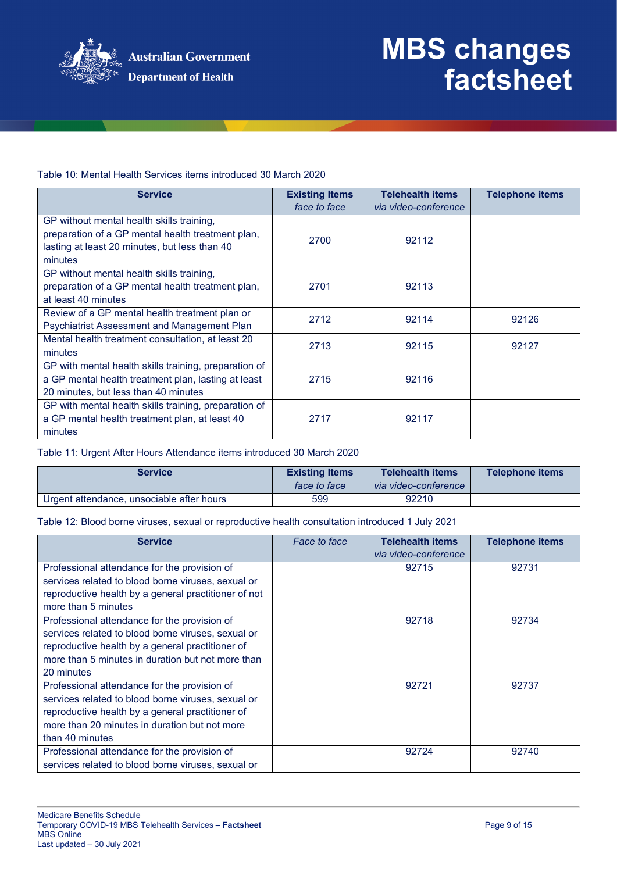

**Department of Health** 

# **MBS changes factsheet**

Table 10: Mental Health Services items introduced 30 March 2020

| <b>Service</b>                                                                                                                                             | <b>Existing Items</b><br>face to face | <b>Telehealth items</b><br>via video-conference | <b>Telephone items</b> |
|------------------------------------------------------------------------------------------------------------------------------------------------------------|---------------------------------------|-------------------------------------------------|------------------------|
| GP without mental health skills training,<br>preparation of a GP mental health treatment plan,<br>lasting at least 20 minutes, but less than 40<br>minutes | 2700                                  | 92112                                           |                        |
| GP without mental health skills training,<br>preparation of a GP mental health treatment plan,<br>at least 40 minutes                                      | 2701                                  | 92113                                           |                        |
| Review of a GP mental health treatment plan or<br><b>Psychiatrist Assessment and Management Plan</b>                                                       | 2712                                  | 92114                                           | 92126                  |
| Mental health treatment consultation, at least 20<br>minutes                                                                                               | 2713                                  | 92115                                           | 92127                  |
| GP with mental health skills training, preparation of<br>a GP mental health treatment plan, lasting at least<br>20 minutes, but less than 40 minutes       | 2715                                  | 92116                                           |                        |
| GP with mental health skills training, preparation of<br>a GP mental health treatment plan, at least 40<br>minutes                                         | 2717                                  | 92117                                           |                        |

Table 11: Urgent After Hours Attendance items introduced 30 March 2020

| <b>Service</b>                            | <b>Existing Items</b><br>face to face | <b>Telehealth items</b><br>via video-conference | <b>Telephone items</b> |
|-------------------------------------------|---------------------------------------|-------------------------------------------------|------------------------|
| Urgent attendance, unsociable after hours | 599                                   | 92210                                           |                        |

Table 12: Blood borne viruses, sexual or reproductive health consultation introduced 1 July 2021

| <b>Service</b>                                       | Face to face | <b>Telehealth items</b><br>via video-conference | <b>Telephone items</b> |
|------------------------------------------------------|--------------|-------------------------------------------------|------------------------|
| Professional attendance for the provision of         |              | 92715                                           | 92731                  |
| services related to blood borne viruses, sexual or   |              |                                                 |                        |
| reproductive health by a general practitioner of not |              |                                                 |                        |
| more than 5 minutes                                  |              |                                                 |                        |
| Professional attendance for the provision of         |              | 92718                                           | 92734                  |
| services related to blood borne viruses, sexual or   |              |                                                 |                        |
| reproductive health by a general practitioner of     |              |                                                 |                        |
| more than 5 minutes in duration but not more than    |              |                                                 |                        |
| 20 minutes                                           |              |                                                 |                        |
| Professional attendance for the provision of         |              | 92721                                           | 92737                  |
| services related to blood borne viruses, sexual or   |              |                                                 |                        |
| reproductive health by a general practitioner of     |              |                                                 |                        |
| more than 20 minutes in duration but not more        |              |                                                 |                        |
| than 40 minutes                                      |              |                                                 |                        |
| Professional attendance for the provision of         |              | 92724                                           | 92740                  |
| services related to blood borne viruses, sexual or   |              |                                                 |                        |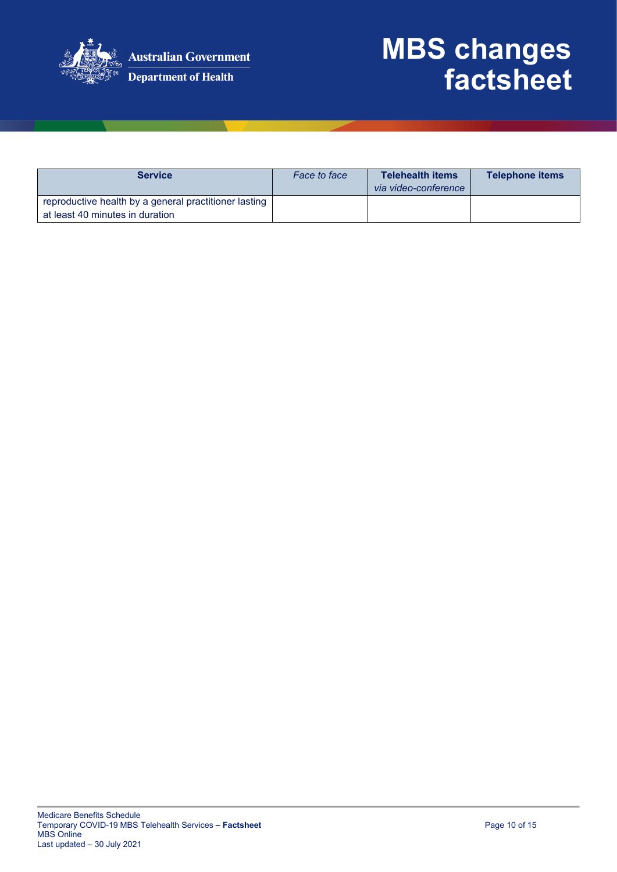

| <b>Service</b>                                                                           | Face to face | <b>Telehealth items</b><br>via video-conference | <b>Telephone items</b> |
|------------------------------------------------------------------------------------------|--------------|-------------------------------------------------|------------------------|
| reproductive health by a general practitioner lasting<br>at least 40 minutes in duration |              |                                                 |                        |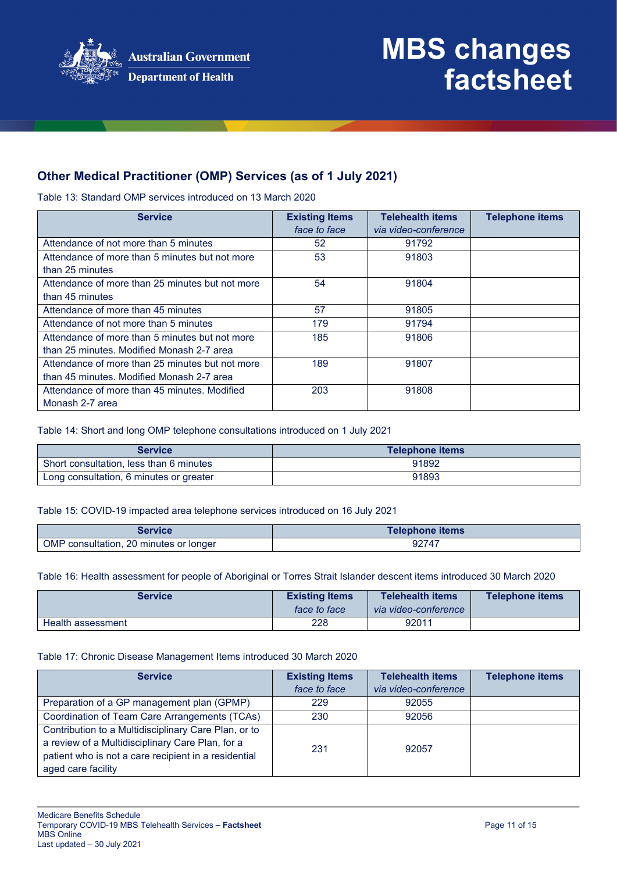

### **Other Medical Practitioner (OMP) Services (as of 1 July 2021)**

Table 13: Standard OMP services introduced on 13 March 2020

| <b>Service</b>                                  | <b>Existing Items</b><br>face to face | <b>Telehealth items</b><br>via video-conference | <b>Telephone items</b> |
|-------------------------------------------------|---------------------------------------|-------------------------------------------------|------------------------|
| Attendance of not more than 5 minutes           | 52                                    | 91792                                           |                        |
| Attendance of more than 5 minutes but not more  | 53                                    | 91803                                           |                        |
| than 25 minutes                                 |                                       |                                                 |                        |
| Attendance of more than 25 minutes but not more | 54                                    | 91804                                           |                        |
| than 45 minutes                                 |                                       |                                                 |                        |
| Attendance of more than 45 minutes              | 57                                    | 91805                                           |                        |
| Attendance of not more than 5 minutes           | 179                                   | 91794                                           |                        |
| Attendance of more than 5 minutes but not more  | 185                                   | 91806                                           |                        |
| than 25 minutes. Modified Monash 2-7 area       |                                       |                                                 |                        |
| Attendance of more than 25 minutes but not more | 189                                   | 91807                                           |                        |
| than 45 minutes. Modified Monash 2-7 area       |                                       |                                                 |                        |
| Attendance of more than 45 minutes. Modified    | 203                                   | 91808                                           |                        |
| Monash 2-7 area                                 |                                       |                                                 |                        |

Table 14: Short and long OMP telephone consultations introduced on 1 July 2021

| <b>Service</b>                          | Telephone items |
|-----------------------------------------|-----------------|
| Short consultation, less than 6 minutes | 91892           |
| Long consultation, 6 minutes or greater | 91893           |

#### Table 15: COVID-19 impacted area telephone services introduced on 16 July 2021

| Service                            | <b>Telephone items</b> |
|------------------------------------|------------------------|
| <b>OMP</b>                         | 92747                  |
| consultation, 20 minutes or longer |                        |

#### Table 16: Health assessment for people of Aboriginal or Torres Strait Islander descent items introduced 30 March 2020

| <b>Service</b>    | <b>Existing Items</b><br>face to face | <b>Telehealth items</b><br>via video-conference | Telephone items |
|-------------------|---------------------------------------|-------------------------------------------------|-----------------|
| Health assessment | 228                                   | 92011                                           |                 |

#### Table 17: Chronic Disease Management Items introduced 30 March 2020

| <b>Service</b>                                                                                                                                                                         | <b>Existing Items</b><br>face to face | <b>Telehealth items</b><br>via video-conference | <b>Telephone items</b> |
|----------------------------------------------------------------------------------------------------------------------------------------------------------------------------------------|---------------------------------------|-------------------------------------------------|------------------------|
| Preparation of a GP management plan (GPMP)                                                                                                                                             | 229                                   | 92055                                           |                        |
| Coordination of Team Care Arrangements (TCAs)                                                                                                                                          | 230                                   | 92056                                           |                        |
| Contribution to a Multidisciplinary Care Plan, or to<br>a review of a Multidisciplinary Care Plan, for a<br>patient who is not a care recipient in a residential<br>aged care facility | 231                                   | 92057                                           |                        |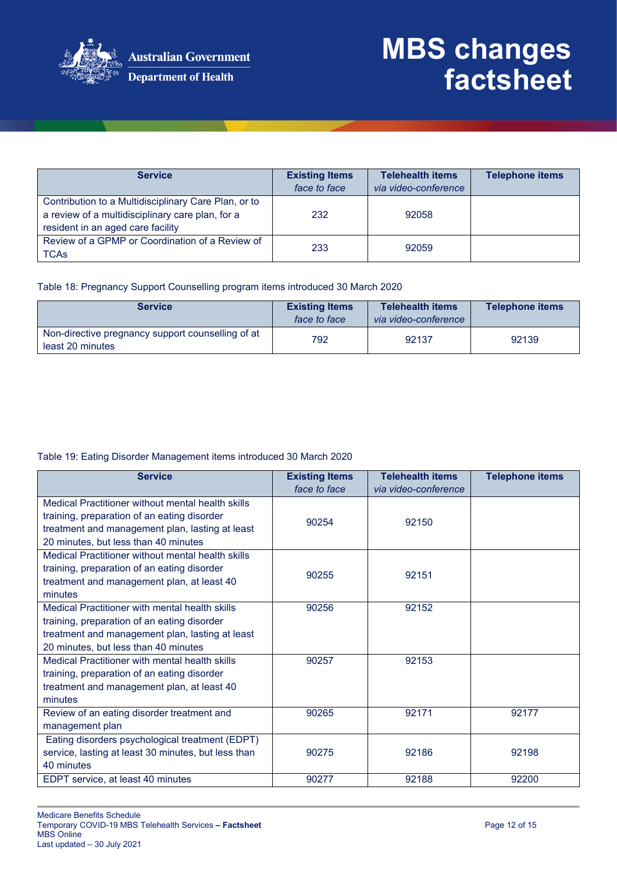

| <b>Service</b>                                                                                                                                | <b>Existing Items</b><br>face to face | <b>Telehealth items</b><br>via video-conference | <b>Telephone items</b> |
|-----------------------------------------------------------------------------------------------------------------------------------------------|---------------------------------------|-------------------------------------------------|------------------------|
| Contribution to a Multidisciplinary Care Plan, or to<br>a review of a multidisciplinary care plan, for a<br>resident in an aged care facility | 232                                   | 92058                                           |                        |
| Review of a GPMP or Coordination of a Review of<br><b>TCAs</b>                                                                                | 233                                   | 92059                                           |                        |

Table 18: Pregnancy Support Counselling program items introduced 30 March 2020

| <b>Service</b>                                                        | <b>Existing Items</b><br>face to face | <b>Telehealth items</b><br>via video-conference | <b>Telephone items</b> |
|-----------------------------------------------------------------------|---------------------------------------|-------------------------------------------------|------------------------|
| Non-directive pregnancy support counselling of at<br>least 20 minutes | 792                                   | 92137                                           | 92139                  |

#### Table 19: Eating Disorder Management items introduced 30 March 2020

| <b>Service</b>                                                                                                                                                                              | <b>Existing Items</b><br>face to face | <b>Telehealth items</b><br>via video-conference | <b>Telephone items</b> |
|---------------------------------------------------------------------------------------------------------------------------------------------------------------------------------------------|---------------------------------------|-------------------------------------------------|------------------------|
| Medical Practitioner without mental health skills<br>training, preparation of an eating disorder<br>treatment and management plan, lasting at least<br>20 minutes, but less than 40 minutes | 90254                                 | 92150                                           |                        |
| Medical Practitioner without mental health skills<br>training, preparation of an eating disorder<br>treatment and management plan, at least 40<br>minutes                                   | 90255                                 | 92151                                           |                        |
| Medical Practitioner with mental health skills<br>training, preparation of an eating disorder<br>treatment and management plan, lasting at least<br>20 minutes, but less than 40 minutes    | 90256                                 | 92152                                           |                        |
| Medical Practitioner with mental health skills<br>training, preparation of an eating disorder<br>treatment and management plan, at least 40<br>minutes                                      | 90257                                 | 92153                                           |                        |
| Review of an eating disorder treatment and<br>management plan                                                                                                                               | 90265                                 | 92171                                           | 92177                  |
| Eating disorders psychological treatment (EDPT)<br>service, lasting at least 30 minutes, but less than<br>40 minutes                                                                        | 90275                                 | 92186                                           | 92198                  |
| EDPT service, at least 40 minutes                                                                                                                                                           | 90277                                 | 92188                                           | 92200                  |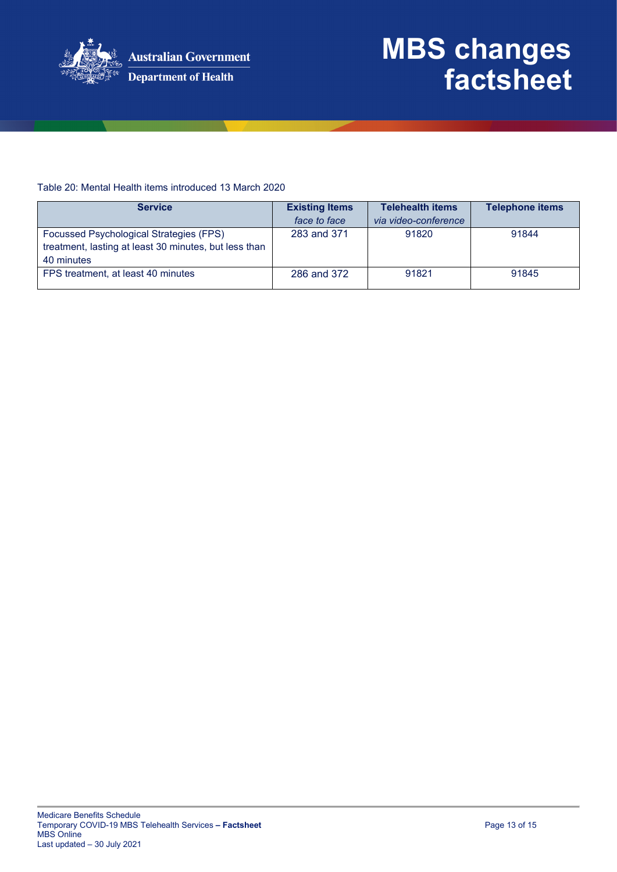

#### Table 20: Mental Health items introduced 13 March 2020

| <b>Service</b>                                        | <b>Existing Items</b> | <b>Telehealth items</b> | <b>Telephone items</b> |
|-------------------------------------------------------|-----------------------|-------------------------|------------------------|
|                                                       | face to face          | via video-conference    |                        |
| Focussed Psychological Strategies (FPS)               | 283 and 371           | 91820                   | 91844                  |
| treatment, lasting at least 30 minutes, but less than |                       |                         |                        |
| 40 minutes                                            |                       |                         |                        |
| FPS treatment, at least 40 minutes                    | 286 and 372           | 91821                   | 91845                  |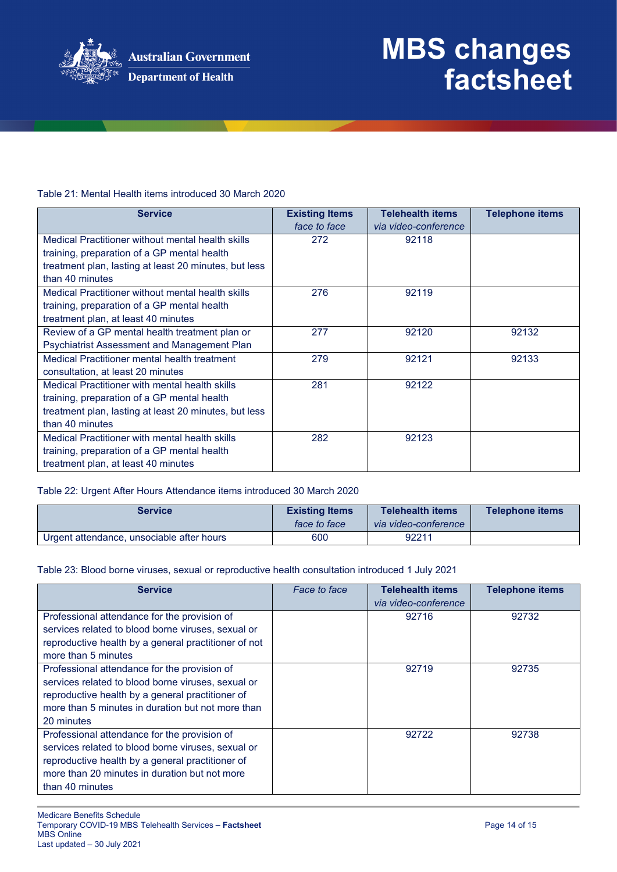

#### Table 21: Mental Health items introduced 30 March 2020

| <b>Service</b>                                        | <b>Existing Items</b> | <b>Telehealth items</b> | <b>Telephone items</b> |
|-------------------------------------------------------|-----------------------|-------------------------|------------------------|
|                                                       | face to face          | via video-conference    |                        |
| Medical Practitioner without mental health skills     | 272                   | 92118                   |                        |
| training, preparation of a GP mental health           |                       |                         |                        |
| treatment plan, lasting at least 20 minutes, but less |                       |                         |                        |
| than 40 minutes                                       |                       |                         |                        |
| Medical Practitioner without mental health skills     | 276                   | 92119                   |                        |
| training, preparation of a GP mental health           |                       |                         |                        |
| treatment plan, at least 40 minutes                   |                       |                         |                        |
| Review of a GP mental health treatment plan or        | 277                   | 92120                   | 92132                  |
| <b>Psychiatrist Assessment and Management Plan</b>    |                       |                         |                        |
| Medical Practitioner mental health treatment          | 279                   | 92121                   | 92133                  |
| consultation, at least 20 minutes                     |                       |                         |                        |
| Medical Practitioner with mental health skills        | 281                   | 92122                   |                        |
| training, preparation of a GP mental health           |                       |                         |                        |
| treatment plan, lasting at least 20 minutes, but less |                       |                         |                        |
| than 40 minutes                                       |                       |                         |                        |
| Medical Practitioner with mental health skills        | 282                   | 92123                   |                        |
| training, preparation of a GP mental health           |                       |                         |                        |
| treatment plan, at least 40 minutes                   |                       |                         |                        |

#### Table 22: Urgent After Hours Attendance items introduced 30 March 2020

| <b>Service</b>                            | <b>Existing Items</b><br>face to face | <b>Telehealth items</b><br>via video-conference | Telephone items |
|-------------------------------------------|---------------------------------------|-------------------------------------------------|-----------------|
| Urgent attendance, unsociable after hours | 600                                   | 92211                                           |                 |

#### Table 23: Blood borne viruses, sexual or reproductive health consultation introduced 1 July 2021

| <b>Service</b>                                       | Face to face | <b>Telehealth items</b><br>via video-conference | <b>Telephone items</b> |
|------------------------------------------------------|--------------|-------------------------------------------------|------------------------|
| Professional attendance for the provision of         |              | 92716                                           | 92732                  |
| services related to blood borne viruses, sexual or   |              |                                                 |                        |
| reproductive health by a general practitioner of not |              |                                                 |                        |
| more than 5 minutes                                  |              |                                                 |                        |
| Professional attendance for the provision of         |              | 92719                                           | 92735                  |
| services related to blood borne viruses, sexual or   |              |                                                 |                        |
| reproductive health by a general practitioner of     |              |                                                 |                        |
| more than 5 minutes in duration but not more than    |              |                                                 |                        |
| 20 minutes                                           |              |                                                 |                        |
| Professional attendance for the provision of         |              | 92722                                           | 92738                  |
| services related to blood borne viruses, sexual or   |              |                                                 |                        |
| reproductive health by a general practitioner of     |              |                                                 |                        |
| more than 20 minutes in duration but not more        |              |                                                 |                        |
| than 40 minutes                                      |              |                                                 |                        |